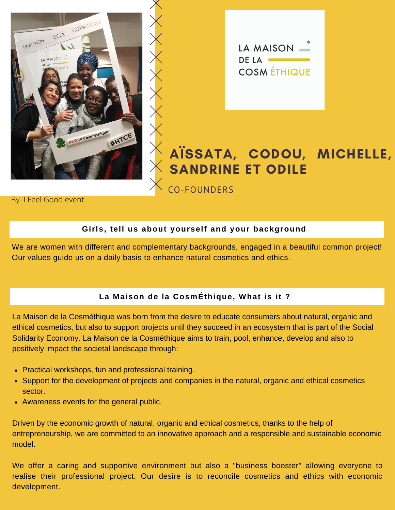



# AÏSSATA, CODOU, MICHELLE, SANDRINE ET ODILE

By [I Feel Good event](https://www.ifeelgood-event.com/)

# **Girls, tell us about yourself and your background**

CO-FOUNDERS

We are women with different and complementary backgrounds, engaged in a beautiful common project! Our values guide us on a daily basis to enhance natural cosmetics and ethics.

# **La Maison de la CosmÉthique, What is it ?**

La Maison de la Cosméthique was born from the desire to educate consumers about natural, organic and ethical cosmetics, but also to support projects until they succeed in an ecosystem that is part of the Social Solidarity Economy. La Maison de la Cosméthique aims to train, pool, enhance, develop and also to positively impact the societal landscape through:

- Practical workshops, fun and professional training.
- Support for the development of projects and companies in the natural, organic and ethical cosmetics sector.
- Awareness events for the general public.

Driven by the economic growth of natural, organic and ethical cosmetics, thanks to the help of entrepreneurship, we are committed to an innovative approach and a responsible and sustainable economic model.

We offer a caring and supportive environment but also a "business booster" allowing everyone to realise their professional project. Our desire is to reconcile cosmetics and ethics with economic development.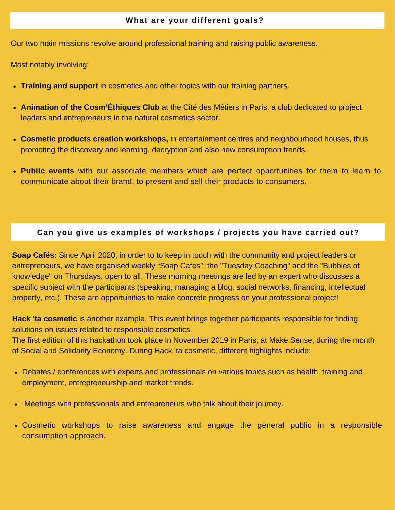Our two main missions revolve around professional training and raising public awareness.

Most notably involving:

- **Training and support** in cosmetics and other topics with our training partners.
- **Animation of the Cosm'Éthiques Club** at the Cité des Métiers in Paris, a club dedicated to project leaders and entrepreneurs in the natural cosmetics sector.
- **Cosmetic products creation workshops,** in entertainment centres and neighbourhood houses, thus promoting the discovery and learning, decryption and also new consumption trends.
- **Public events** with our associate members which are perfect opportunities for them to learn to communicate about their brand, to present and sell their products to consumers.

## **Can you give us examples of workshops / projects you have carried out?**

**Soap Cafés:** Since April 2020, in order to to keep in touch with the community and project leaders or entrepreneurs, we have organised weekly "Soap Cafes": the "Tuesday Coaching" and the "Bubbles of knowledge" on Thursdays, open to all. These morning meetings are led by an expert who discusses a specific subject with the participants (speaking, managing a blog, social networks, financing, intellectual property, etc.). These are opportunities to make concrete progress on your professional project!

**Hack 'ta cosmetic** is another example. This event brings together participants responsible for finding solutions on issues related to responsible cosmetics.

The first edition of this hackathon took place in November 2019 in Paris, at Make Sense, during the month of Social and Solidarity Economy. During Hack 'ta cosmetic, different highlights include:

- Debates / conferences with experts and professionals on various topics such as health, training and employment, entrepreneurship and market trends.
- Meetings with professionals and entrepreneurs who talk about their journey.  $\bullet$
- Cosmetic workshops to raise awareness and engage the general public in a responsible consumption approach.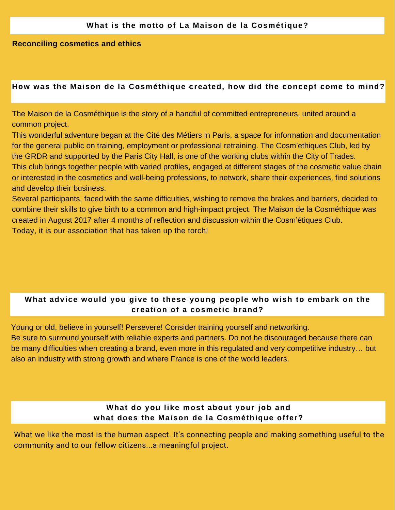#### **Reconciling cosmetics and ethics**

#### **How was the Maison de la Cosméthique created, how did the concept come to mind?**

The Maison de la Cosméthique is the story of a handful of committed entrepreneurs, united around a common project.

This wonderful adventure began at the Cité des Métiers in Paris, a space for information and documentation for the general public on training, employment or professional retraining. The Cosm'ethiques Club, led by the GRDR and supported by the Paris City Hall, is one of the working clubs within the City of Trades. This club brings together people with varied profiles, engaged at different stages of the cosmetic value chain or interested in the cosmetics and well-being professions, to network, share their experiences, find solutions and develop their business.

Several participants, faced with the same difficulties, wishing to remove the brakes and barriers, decided to combine their skills to give birth to a common and high-impact project. The Maison de la Cosméthique was created in August 2017 after 4 months of reflection and discussion within the Cosm'étiques Club. Today, it is our association that has taken up the torch!

# **What advice would you give to these young people who wish to embark on the creation of a cosmetic brand?**

Young or old, believe in yourself! Persevere! Consider training yourself and networking. Be sure to surround yourself with reliable experts and partners. Do not be discouraged because there can be many difficulties when creating a brand, even more in this regulated and very competitive industry… but

also an industry with strong growth and where France is one of the world leaders.

# **What do you like most about your job and what does the Maison de la Cosméthique offer?**

What we like the most is the human aspect. It's connecting people and making something useful to the community and to our fellow citizens...a meaningful project.